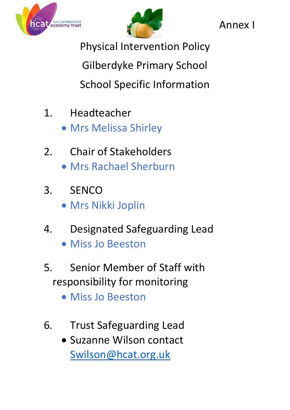



Annex I

Physical Intervention Policy Gilberdyke Primary School School Specific Information

- 1. Headteacher
	- Mrs Melissa Shirley
- 2. Chair of Stakeholders
	- Mrs Rachael Sherburn
- 3. SENCO
	- Mrs Nikki Joplin
- 4. Designated Safeguarding Lead
	- Miss Jo Beeston
- 5. Senior Member of Staff with responsibility for monitoring
	- Miss Jo Beeston
- 6. Trust Safeguarding Lead
	- Suzanne Wilson contact [Swilson@hcat.org.uk](mailto:Swilson@hcat.org.uk)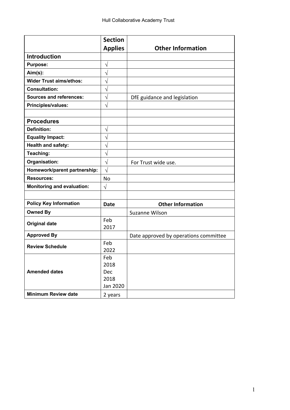|                                   | <b>Section</b> |                                       |
|-----------------------------------|----------------|---------------------------------------|
|                                   | <b>Applies</b> | <b>Other Information</b>              |
| <b>Introduction</b>               |                |                                       |
| <b>Purpose:</b>                   | $\sqrt{}$      |                                       |
| $Aim(s)$ :                        | $\sqrt{}$      |                                       |
| <b>Wider Trust aims/ethos:</b>    | $\sqrt{}$      |                                       |
| <b>Consultation:</b>              | $\sqrt{}$      |                                       |
| <b>Sources and references:</b>    | $\sqrt{}$      | DfE guidance and legislation          |
| Principles/values:                | $\sqrt{}$      |                                       |
|                                   |                |                                       |
| <b>Procedures</b>                 |                |                                       |
| <b>Definition:</b>                | $\sqrt{}$      |                                       |
| <b>Equality Impact:</b>           | $\sqrt{}$      |                                       |
| Health and safety:                | V              |                                       |
| Teaching:                         | $\sqrt{}$      |                                       |
| Organisation:                     | $\sqrt{}$      | For Trust wide use.                   |
| Homework/parent partnership:      | $\sqrt{}$      |                                       |
| <b>Resources:</b>                 | <b>No</b>      |                                       |
| <b>Monitoring and evaluation:</b> | $\sqrt{ }$     |                                       |
|                                   |                |                                       |
| <b>Policy Key Information</b>     | <b>Date</b>    | <b>Other Information</b>              |
| <b>Owned By</b>                   |                | <b>Suzanne Wilson</b>                 |
| <b>Original date</b>              | Feb            |                                       |
|                                   | 2017           |                                       |
| <b>Approved By</b>                |                | Date approved by operations committee |
| <b>Review Schedule</b>            | Feb            |                                       |
|                                   | 2022           |                                       |
|                                   | Feb            |                                       |
|                                   | 2018           |                                       |
| <b>Amended dates</b>              | Dec            |                                       |
|                                   | 2018           |                                       |
|                                   | Jan 2020       |                                       |
| <b>Minimum Review date</b>        | 2 years        |                                       |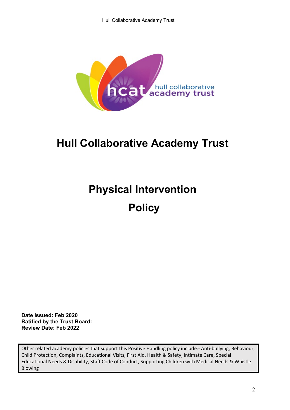

# **Hull Collaborative Academy Trust**

# **Physical Intervention Policy**

**Date issued: Feb 2020 Ratified by the Trust Board: Review Date: Feb 2022**

Other related academy policies that support this Positive Handling policy include:- Anti-bullying, Behaviour, Child Protection, Complaints, Educational Visits, First Aid, Health & Safety, Intimate Care, Special Educational Needs & Disability, Staff Code of Conduct, Supporting Children with Medical Needs & Whistle Blowing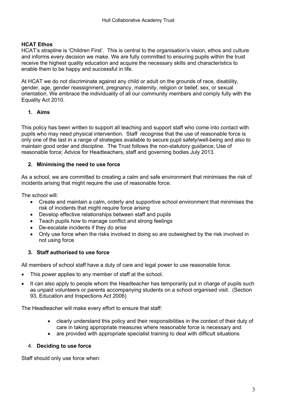# **HCAT Ethos**

HCAT's strapline is 'Children First'. This is central to the organisation's vision, ethos and culture and informs every decision we make. We are fully committed to ensuring pupils within the trust receive the highest quality education and acquire the necessary skills and characteristics to enable them to be happy and successful in life.

At HCAT we do not discriminate against any child or adult on the grounds of race, disability, gender, age, gender reassignment, pregnancy, maternity, religion or belief, sex, or sexual orientation. We embrace the individuality of all our community members and comply fully with the Equality Act 2010.

# **1. Aims**

This policy has been written to support all teaching and support staff who come into contact with pupils who may need physical intervention. Staff recognise that the use of reasonable force is only one of the last in a range of strategies available to secure pupil safety/well-being and also to maintain good order and discipline. The Trust follows the non-statutory guidance; Use of reasonable force; Advice for Headteachers, staff and governing bodies July 2013.

# **2. Minimising the need to use force**

As a school, we are committed to creating a calm and safe environment that minimises the risk of incidents arising that might require the use of reasonable force.

The school will:

- Create and maintain a calm, orderly and supportive school environment that minimises the risk of incidents that might require force arising
- Develop effective relationships between staff and pupils
- Teach pupils how to manage conflict and strong feelings
- De-escalate incidents if they do arise
- Only use force when the risks involved in doing so are outweighed by the risk involved in not using force

# **3. Staff authorised to use force**

All members of school staff have a duty of care and legal power to use reasonable force.

- This power applies to any member of staff at the school.
- It can also apply to people whom the Headteacher has temporarily put in charge of pupils such as unpaid volunteers or parents accompanying students on a school organised visit. (Section 93, Education and Inspections Act 2006)

The Headteacher will make every effort to ensure that staff:

- clearly understand this policy and their responsibilities in the context of their duty of care in taking appropriate measures where reasonable force is necessary and
- are provided with appropriate specialist training to deal with difficult situations

### 4. **Deciding to use force**

Staff should only use force when: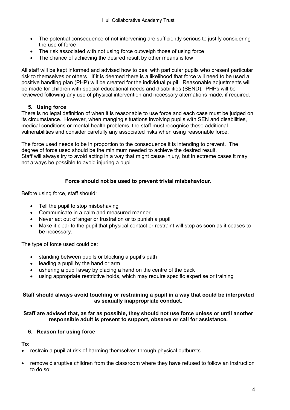- The potential consequence of not intervening are sufficiently serious to justify considering the use of force
- The risk associated with not using force outweigh those of using force
- The chance of achieving the desired result by other means is low

All staff will be kept informed and advised how to deal with particular pupils who present particular risk to themselves or others. If it is deemed there is a likelihood that force will need to be used a positive handling plan (PHP) will be created for the individual pupil. Reasonable adjustments will be made for children with special educational needs and disabilities (SEND). PHPs will be reviewed following any use of physical intervention and necessary alternations made, if required.

# **5. Using force**

There is no legal definition of when it is reasonable to use force and each case must be judged on its circumstance. However, when manging situations involving pupils with SEN and disabilities, medical conditions or mental health problems, the staff must recognise these additional vulnerabilities and consider carefully any associated risks when using reasonable force.

The force used needs to be in proportion to the consequence it is intending to prevent. The degree of force used should be the minimum needed to achieve the desired result. Staff will always try to avoid acting in a way that might cause injury, but in extreme cases it may not always be possible to avoid injuring a pupil.

# **Force should not be used to prevent trivial misbehaviour.**

Before using force, staff should:

- Tell the pupil to stop misbehaving
- Communicate in a calm and measured manner
- Never act out of anger or frustration or to punish a pupil
- Make it clear to the pupil that physical contact or restraint will stop as soon as it ceases to be necessary.

The type of force used could be:

- standing between pupils or blocking a pupil's path
- leading a pupil by the hand or arm
- ushering a pupil away by placing a hand on the centre of the back
- using appropriate restrictive holds, which may require specific expertise or training

### **Staff should always avoid touching or restraining a pupil in a way that could be interpreted as sexually inappropriate conduct.**

# **Staff are advised that, as far as possible, they should not use force unless or until another responsible adult is present to support, observe or call for assistance.**

# **6. Reason for using force**

**To:**

- restrain a pupil at risk of harming themselves through physical outbursts.
- remove disruptive children from the classroom where they have refused to follow an instruction to do so;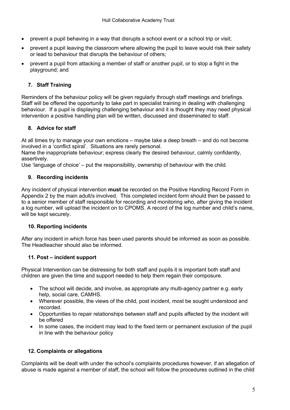- prevent a pupil behaving in a way that disrupts a school event or a school trip or visit;
- prevent a pupil leaving the classroom where allowing the pupil to leave would risk their safety or lead to behaviour that disrupts the behaviour of others;
- prevent a pupil from attacking a member of staff or another pupil, or to stop a fight in the playground; and

# **7. Staff Training**

Reminders of the behaviour policy will be given regularly through staff meetings and briefings. Staff will be offered the opportunity to take part in specialist training in dealing with challenging behaviour. If a pupil is displaying challenging behaviour and it is thought they may need physical intervention a positive handling plan will be written, discussed and disseminated to staff.

# **8. Advice for staff**

At all times try to manage your own emotions – maybe take a deep breath – and do not become involved in a 'conflict spiral'. Situations are rarely personal.

Name the inappropriate behaviour; express clearly the desired behaviour, calmly confidently, assertively.

Use 'language of choice' – put the responsibility, ownership of behaviour with the child.

# **9. Recording incidents**

Any incident of physical intervention **must** be recorded on the Positive Handling Record Form in Appendix 2 by the main adult/s involved. This completed incident form should then be passed to to a senior member of staff responsible for recording and monitoring who, after giving the incident a log number, will upload the incident on to CPOMS. A record of the log number and child's name, will be kept securely.

# **10. Reporting incidents**

After any incident in which force has been used parents should be informed as soon as possible. The Headteacher should also be informed.

# **11. Post – incident support**

Physical Intervention can be distressing for both staff and pupils it is important both staff and children are given the time and support needed to help them regain their composure.

- The school will decide, and involve, as appropriate any multi-agency partner e.g. early help, social care, CAMHS.
- Wherever possible, the views of the child, post incident, most be sought understood and recorded.
- Opportunities to repair relationships between staff and pupils affected by the incident will be offered
- In some cases, the incident may lead to the fixed term or permanent exclusion of the pupil in line with the behaviour policy

# **12. Complaints or allegations**

Complaints will be dealt with under the school's complaints procedures however, if an allegation of abuse is made against a member of staff, the school will follow the procedures outlined in the child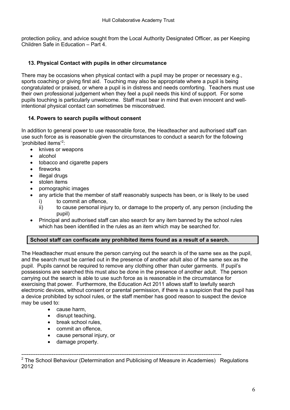protection policy, and advice sought from the Local Authority Designated Officer, as per Keeping Children Safe in Education – Part 4.

# **13. Physical Contact with pupils in other circumstance**

There may be occasions when physical contact with a pupil may be proper or necessary e.g., sports coaching or giving first aid. Touching may also be appropriate where a pupil is being congratulated or praised, or where a pupil is in distress and needs comforting. Teachers must use their own professional judgement when they feel a pupil needs this kind of support. For some pupils touching is particularly unwelcome. Staff must bear in mind that even innocent and wellintentional physical contact can sometimes be misconstrued.

# **14. Powers to search pupils without consent**

In addition to general power to use reasonable force, the Headteacher and authorised staff can use such force as is reasonable given the circumstances to conduct a search for the following 'prohibited items'<sup>2</sup>:

- knives or weapons
- alcohol
- tobacco and cigarette papers
- **fireworks**
- illegal drugs
- stolen items
- pornographic images
- any article that the member of staff reasonably suspects has been, or is likely to be used i) to commit an offence,
	- ii) to cause personal injury to, or damage to the property of, any person (including the pupil)
- Principal and authorised staff can also search for any item banned by the school rules which has been identified in the rules as an item which may be searched for.

# **School staff can confiscate any prohibited items found as a result of a search.**

The Headteacher must ensure the person carrying out the search is of the same sex as the pupil, and the search must be carried out in the presence of another adult also of the same sex as the pupil. Pupils cannot be required to remove any clothing other than outer garments. If pupil's possessions are searched this must also be done in the presence of another adult. The person carrying out the search is able to use such force as is reasonable in the circumstance for exercising that power. Furthermore, the Education Act 2011 allows staff to lawfully search electronic devices, without consent or parental permission, if there is a suspicion that the pupil has a device prohibited by school rules, or the staff member has good reason to suspect the device may be used to:

- cause harm,
- disrupt teaching,
- break school rules,
- commit an offence,
- cause personal injury, or
- damage property.

----------------------------------------------------------------------------------------------------------------  $2$  The School Behaviour (Determination and Publicising of Measure in Academies) Regulations 2012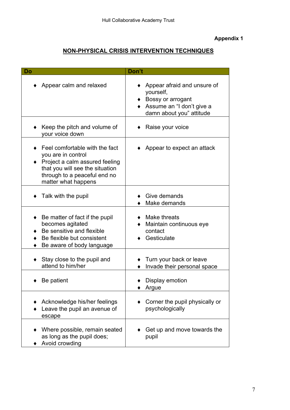# **Appendix 1**

# **NON-PHYSICAL CRISIS INTERVENTION TECHNIQUES**

| Do                                                                                                                                                                                         | Don't                                                                                                                  |
|--------------------------------------------------------------------------------------------------------------------------------------------------------------------------------------------|------------------------------------------------------------------------------------------------------------------------|
| Appear calm and relaxed                                                                                                                                                                    | Appear afraid and unsure of<br>yourself,<br>Bossy or arrogant<br>Assume an "I don't give a<br>damn about you" attitude |
| Keep the pitch and volume of<br>your voice down                                                                                                                                            | Raise your voice                                                                                                       |
| $\bullet$ Feel comfortable with the fact<br>you are in control<br>Project a calm assured feeling<br>that you will see the situation<br>through to a peaceful end no<br>matter what happens | Appear to expect an attack                                                                                             |
| Talk with the pupil                                                                                                                                                                        | Give demands<br>Make demands                                                                                           |
| Be matter of fact if the pupil<br>becomes agitated<br>Be sensitive and flexible<br>Be flexible but consistent<br>Be aware of body language                                                 | Make threats<br>Maintain continuous eye<br>contact<br>Gesticulate                                                      |
| Stay close to the pupil and<br>attend to him/her                                                                                                                                           | Turn your back or leave<br>Invade their personal space                                                                 |
| Be patient                                                                                                                                                                                 | Display emotion<br>Argue                                                                                               |
| Acknowledge his/her feelings<br>Leave the pupil an avenue of<br>escape                                                                                                                     | Corner the pupil physically or<br>psychologically                                                                      |
| Where possible, remain seated<br>as long as the pupil does;<br>Avoid crowding                                                                                                              | Get up and move towards the<br>pupil                                                                                   |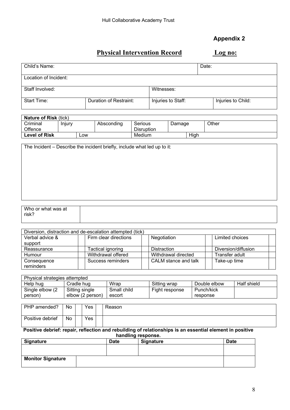# **Appendix 2**

# **Physical Intervention Record Log no:**

| Child's Name:         |                        |                    | Date: |                    |
|-----------------------|------------------------|--------------------|-------|--------------------|
| Location of Incident: |                        |                    |       |                    |
| Staff Involved:       |                        | Witnesses:         |       |                    |
| <b>Start Time:</b>    | Duration of Restraint: | Injuries to Staff: |       | Injuries to Child: |

| <b>Nature of Risk (tick)</b> |        |     |            |                   |        |      |       |
|------------------------------|--------|-----|------------|-------------------|--------|------|-------|
| Criminal                     | Injury |     | Absconding | Serious           | Damage |      | Other |
| Offence                      |        |     |            | <b>Disruption</b> |        |      |       |
| <b>Level of Risk</b>         |        | _OW |            | Medium            |        | High |       |

The Incident – Describe the incident briefly, include what led up to it:

| Who or what was at<br>risk? |  |
|-----------------------------|--|
|                             |  |

| Diversion, distraction and de-escalation attempted (tick) |                       |                      |                     |  |  |  |  |
|-----------------------------------------------------------|-----------------------|----------------------|---------------------|--|--|--|--|
| Verbal advice &                                           | Firm clear directions | Negotiation          | Limited choices     |  |  |  |  |
| support                                                   |                       |                      |                     |  |  |  |  |
| Reassurance                                               | Tactical ignoring     | Distraction          | Diversion/diffusion |  |  |  |  |
| Humour                                                    | Withdrawal offered    | Withdrawal directed  | Transfer adult      |  |  |  |  |
| Consequence<br>reminders                                  | Success reminders     | CALM stance and talk | Take-up time        |  |  |  |  |

| Physical strategies attempted |                  |             |                |              |             |  |  |
|-------------------------------|------------------|-------------|----------------|--------------|-------------|--|--|
| Help hug                      | Cradle hug       | Wrap        | Sitting wrap   | Double elbow | Half shield |  |  |
| Single elbow (2)              | Sitting single   | Small child | Fight response | Punch/kick   |             |  |  |
| (person                       | elbow (2 person) | escort      |                | response     |             |  |  |

| PHP amended?     | No | Yes | Reason |
|------------------|----|-----|--------|
| Positive debrief | No | Yes |        |

#### **Positive debrief: repair, reflection and rebuilding of relationships is an essential element in positive handling response.**

| <b>Signature</b>         | <b>Date</b> | <b>Signature</b> | <b>Date</b> |
|--------------------------|-------------|------------------|-------------|
|                          |             |                  |             |
|                          |             |                  |             |
| <b>Monitor Signature</b> |             |                  |             |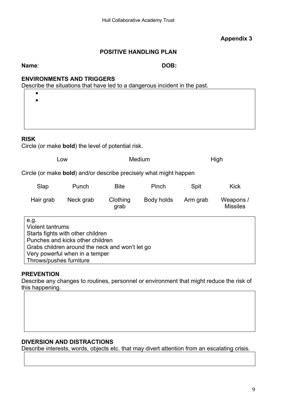# **Appendix 3**

# **POSITIVE HANDLING PLAN**

**Name**: **DOB:**

# **ENVIRONMENTS AND TRIGGERS**

Describe the situations that have led to a dangerous incident in the past.

# **RISK**

Circle (or make **bold**) the level of potential risk.

| Low | Medium | High |
|-----|--------|------|
|-----|--------|------|

Circle (or make **bold**) and/or describe precisely what might happen

| Slap      | Punch     | <b>Bite</b>      | Pinch      | Spit     | Kick                         |
|-----------|-----------|------------------|------------|----------|------------------------------|
| Hair grab | Neck grab | Clothing<br>grab | Body holds | Arm grab | Weapons /<br><b>Missiles</b> |

e.g. Violent tantrums Starts fights with other children Punches and kicks other children Grabs children around the neck and won't let go Very powerful when in a temper Throws/pushes furniture

# **PREVENTION**

Describe any changes to routines, personnel or environment that might reduce the risk of this happening.

# **DIVERSION AND DISTRACTIONS**

Describe interests, words, objects etc. that may divert attention from an escalating crisis.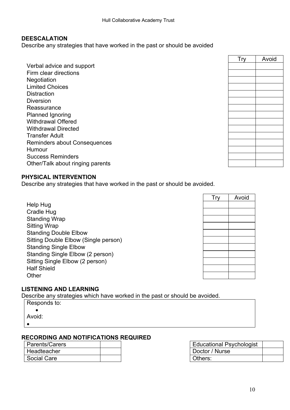# **DEESCALATION**

Describe any strategies that have worked in the past or should be avoided

Verbal advice and support Firm clear directions **Negotiation** Limited Choices **Distraction Diversion Reassurance** Planned Ignoring Withdrawal Offered Withdrawal Directed Transfer Adult Reminders about Consequences Humour Success Reminders Other/Talk about ringing parents

| <b>Try</b> | Avoid |  |  |
|------------|-------|--|--|
|            |       |  |  |
|            |       |  |  |
|            |       |  |  |
|            |       |  |  |
|            |       |  |  |
|            |       |  |  |
|            |       |  |  |
|            |       |  |  |
|            |       |  |  |
|            |       |  |  |
|            |       |  |  |
|            |       |  |  |
|            |       |  |  |
|            |       |  |  |
|            |       |  |  |

# **PHYSICAL INTERVENTION**

Describe any strategies that have worked in the past or should be avoided.

Help Hug Cradle Hug Standing Wrap Sitting Wrap Standing Double Elbow Sitting Double Elbow (Single person) Standing Single Elbow Standing Single Elbow (2 person) Sitting Single Elbow (2 person) Half Shield **Other** 

| <b>Try</b> | Avoid |
|------------|-------|
|            |       |
|            |       |
|            |       |
|            |       |
|            |       |
|            |       |
|            |       |
|            |       |
|            |       |
|            |       |
|            |       |

# **LISTENING AND LEARNING**

Describe any strategies which have worked in the past or should be avoided.

| Responds to: |
|--------------|
|              |
| Avoid:       |
|              |

# **RECORDING AND NOTIFICATIONS REQUIRED**

| <b>Parents/Carers</b> |  | <b>Educational Psychologist</b> |
|-----------------------|--|---------------------------------|
| Headteacher           |  | Doctor / Nurse                  |
| Social Care           |  | Others:                         |

| Educational Psychologist |  |
|--------------------------|--|
| Doctor / Nurse           |  |
| Others:                  |  |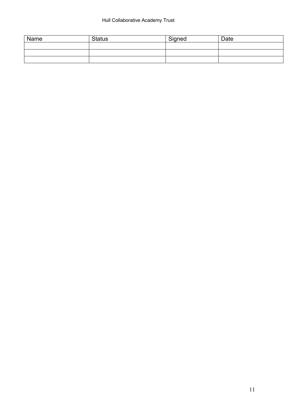# Hull Collaborative Academy Trust

| Name | <b>Status</b> | Signed | Date |
|------|---------------|--------|------|
|      |               |        |      |
|      |               |        |      |
|      |               |        |      |